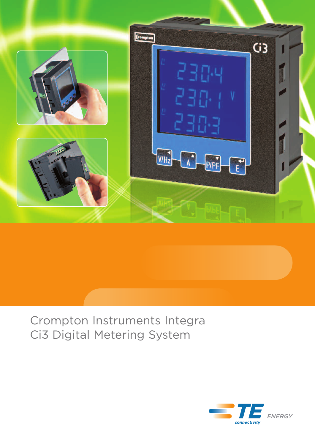

# Crompton Instruments Integra Ci3 Digital Metering System

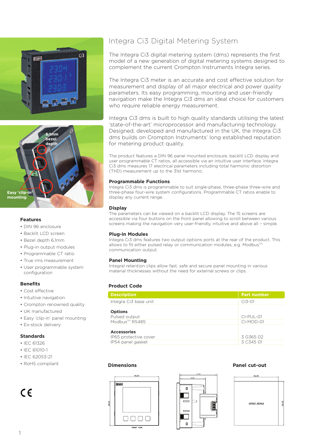



### **Features**

- DIN 96 enclosure
- Backlit LCD screen
- Bezel depth 6.1mm
- Plug-in output modules
- Programmable CT ratio
- True rms measurement
- User programmable system configuration

### **Benefits**

- Cost effective
- Intuitive navigation
- Crompton renowned quality
- UK manufactured
- Easy 'clip-in' panel mounting
- Ex-stock delivery

### **Standards**

- IEC 61326
- IEC 61010-1
- IEC 62053-21
- RoHS compliant **Dimensions Panel cut-out**

## $\epsilon$

## Integra Ci3 Digital Metering System

The Integra Ci3 digital metering system (dms) represents the first model of a new generation of digital metering systems designed to complement the current Crompton Instruments Integra series.

The Integra Ci3 meter is an accurate and cost effective solution for measurement and display of all major electrical and power quality parameters. Its easy programming, mounting and user-friendly navigation make the Integra Ci3 dms an ideal choice for customers who require reliable energy measurement.

Integra Ci3 dms is built to high quality standards utilising the latest 'state-of-the-art' microprocessor and manufacturing technology. Designed, developed and manufactured in the UK, the Integra Ci3 dms builds on Crompton Instruments' long established reputation for metering product quality.

The product features a DIN 96 panel mounted enclosure, backlit LCD display and user programmable CT ratios, all accessible via an intuitive user interface. Integra Ci3 dms measures 17 electrical parameters including total harmonic distortion (THD) measurement up to the 31st harmonic.

### **Programmable Functions**

Integra Ci3 dms is programmable to suit single-phase, three-phase three-wire and three-phase four-wire system configurations. Programmable CT ratios enable to display any current range.

### **Display**

The parameters can be viewed on a backlit LCD display. The 15 screens are accessible via four buttons on the front panel allowing to scroll between various screens making the navigation very user-friendly, intuitive and above all – simple.

### **Plug-in Modules**

Integra Ci3 dms features two output options ports at the rear of the product. This allows to fit either pulsed relay or communication modules, e.g. Modbus™ communication output.

### **Panel Mounting**

Integral retention clips allow fast, safe and secure panel mounting in various material thicknesses without the need for external screws or clips.

### **Product Code**

| <b>Description</b>                                               | <b>Part number</b>       |
|------------------------------------------------------------------|--------------------------|
| Integra Ci3 base unit                                            | $CI3-01$                 |
| <b>Options</b><br>Pulsed output<br>Modbus™ RS485                 | $CI-PUL-01$<br>CI-MOD-01 |
| <b>Accessories</b><br>IP65 protective cover<br>IP54 panel gasket | 3 G365 O2<br>3 C345 01   |





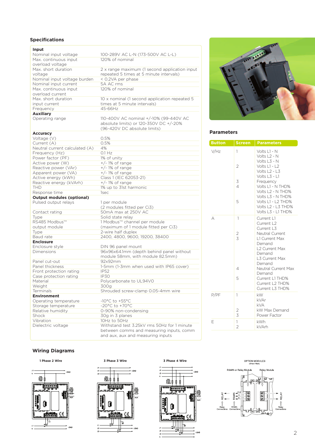### **Specifications**

| Input                              |                                                        |
|------------------------------------|--------------------------------------------------------|
| Nominal input voltage              | 100-289V AC L-N (173-500V AC L-L)                      |
| Max. continuous input              | 120% of nominal                                        |
| overload voltage                   |                                                        |
| Max, short duration                | 2 x range maximum (1 second application input          |
| voltage                            | repeated 5 times at 5 minute intervals)                |
| Nominal input voltage burden       | < 0.2VA per phase                                      |
| Nominal input current              | 5A AC rms                                              |
| Max. continuous input              | 120% of nominal                                        |
| overload current                   |                                                        |
| Max. short duration                | 10 x nominal (1 second application repeated 5          |
| input current                      | times at 5 minute intervals)                           |
| Frequency                          | 45-66Hz                                                |
| <b>Auxiliary</b>                   |                                                        |
| Operating range                    | 110-400V AC nominal +/-10% (99-440V AC                 |
|                                    | absolute limits) or 120-350V DC +/-20%                 |
|                                    | (96-420V DC absolute limits)                           |
| <b>Accuracy</b>                    |                                                        |
| Voltage (V)                        | 0.5%                                                   |
| Current (A)                        | 0.5%                                                   |
| Neutral current calculated (A)     | 4%                                                     |
| Frequency (Hz)                     | $0.1$ Hz                                               |
| Power factor (PF)                  | 1% of unity                                            |
| Active power (W)                   | $+/-$ 1% of range                                      |
| Reactive power (VAr)               | $+/-$ 1% of range                                      |
| Apparent power (VA)                | $+/-$ 1% of range                                      |
| Active energy (kWh)                | Class 1 (IEC 62053-21)                                 |
| Reactive energy (kVArh)            | $+/-$ 1% of range                                      |
| <b>THD</b>                         | 1% up to 31st harmonic                                 |
| Response time                      | 1sec                                                   |
|                                    |                                                        |
|                                    |                                                        |
| <b>Output modules (optional)</b>   |                                                        |
| Pulsed output relays               | 1 per module                                           |
|                                    | (2 modules fitted per Ci3)                             |
| Contact rating                     | 50mA max at 250V AC                                    |
| Type                               | Solid state relay                                      |
| RS485 Modbus™                      | 1 Modbus™ channel per module                           |
| output module                      | (maximum of 1 module fitted per Ci3)                   |
| Type                               | 2-wire half duplex                                     |
| Baud rate                          | 2400, 4800, 9600, 19200, 38400                         |
| <b>Enclosure</b>                   |                                                        |
| Enclosure style<br>Dimensions      | DIN 96 panel mount                                     |
|                                    | 96x96x64.1mm (depth behind panel without               |
| Panel cut-out                      | module 58mm, with module 82.5mm)<br>92x92mm            |
| Panel thickness                    |                                                        |
|                                    | 1-5mm (1-3mm when used with IP65 cover)<br><b>IP52</b> |
| Front protection rating            | IP30                                                   |
| Case protection rating<br>Material | Polycarbonate to UL94V0                                |
|                                    |                                                        |
| Weight<br>Terminals                | 300g                                                   |
| <b>Environment</b>                 | Shrouded screw-clamp 0.05-4mm wire                     |
| Operating temperature              | $-10^{\circ}$ C to $+55^{\circ}$ C                     |
| Storage temperature                | $-20^{\circ}$ C to $+70^{\circ}$ C                     |
| Relative humidity                  | 0-90% non-condensing                                   |
| Shock                              | 30g in 3 planes                                        |
| Vibration                          | 10Hz to 50Hz                                           |
| Dielectric voltage                 | Withstand test 3.25kV rms 50Hz for 1 minute            |
|                                    | between comms and measuring inputs, comm               |



### **Parameters**

| <b>Button</b> | <b>Screen</b>                 | <b>Parameters</b>                                                                         |
|---------------|-------------------------------|-------------------------------------------------------------------------------------------|
| V/Hz          | 1                             | Volts L1 - N<br>Volts L <sub>2</sub> - N<br>Volts L3 - N                                  |
|               | 2                             | Volts L1 - L2<br>Volts L2 - L3<br>Volts L3 - L1                                           |
|               | 3<br>$\overline{\mathcal{A}}$ | Frequency<br>Volts L1 - N THD%<br>Volts L2 - N THD%<br>Volts L3 - N THD%                  |
|               | 5                             | Volts L1 - L2 THD%<br>Volts L2 - L3 THD%<br>Volts L3 - L1 THD%                            |
| А             | 1                             | Current L1<br>Current L2<br>Current L3                                                    |
|               | $\frac{2}{3}$                 | Neutral Current<br>L1 Current Max<br>Demand<br>L2 Current Max<br>Demand<br>L3 Current Max |
|               | 4                             | Demand<br>Neutral Current Max<br>Demand                                                   |
|               | 5                             | Current L1 THD%<br>Current L2 THD%<br>Current L3 THD%                                     |
| P/PF          | 1                             | kW.<br>kVAr<br><b>kVA</b><br>kW Max Demand                                                |
|               | $\frac{2}{3}$                 | Power Factor                                                                              |
| F             | 1<br>$\overline{2}$           | <b>kWh</b><br>kVArh                                                                       |

### **Wiring Diagrams**